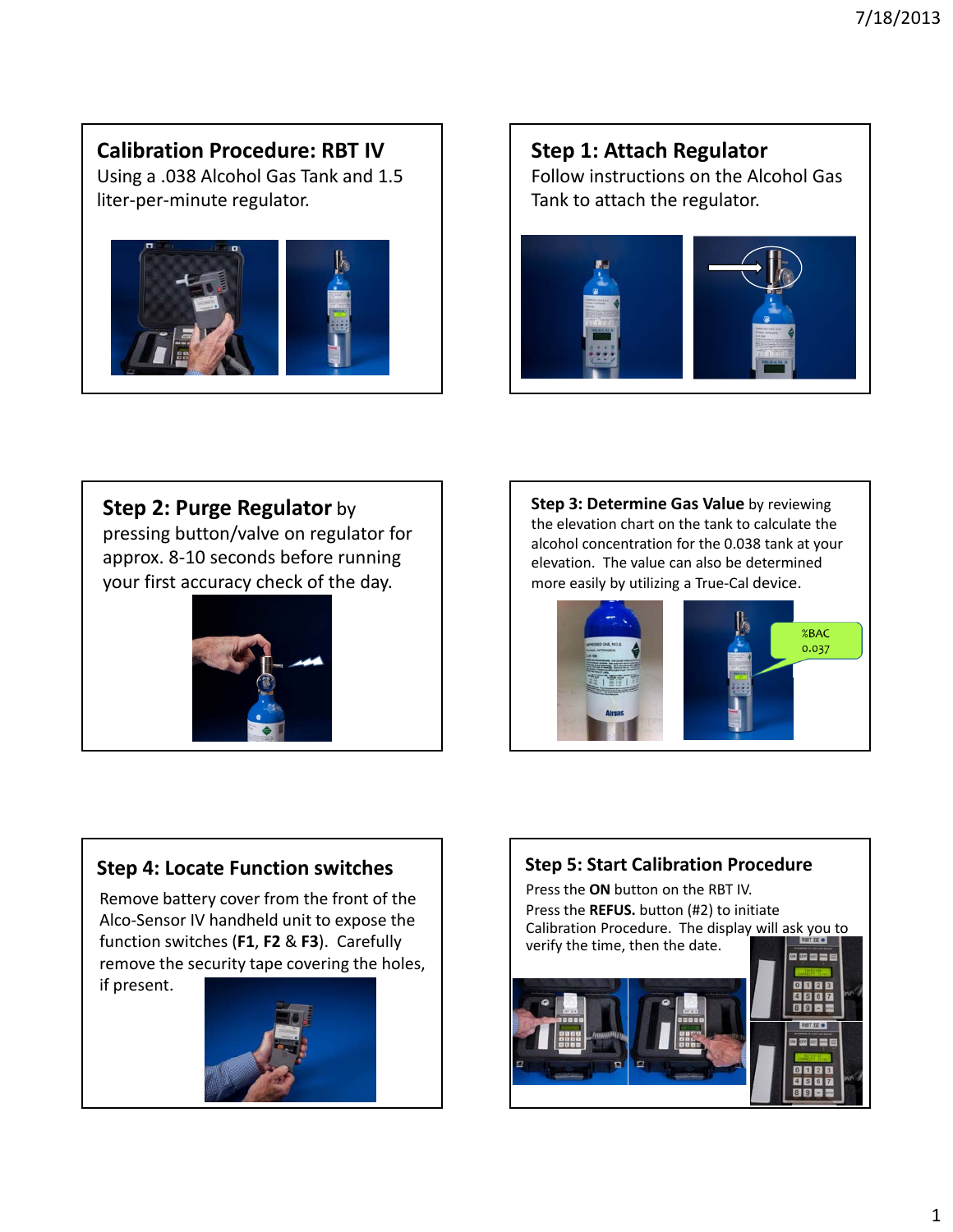# **Calibration Procedure: RBT IV**

Using a .038 Alcohol Gas Tank and 1.5 liter‐per‐minute regulator.



## **Step 1: Attach Regulator** Follow instructions on the Alcohol Gas Tank to attach the regulator.



## **Step 2: Purge Regulator** by

pressing button/valve on regulator for approx. 8‐10 seconds before running your first accuracy check of the day.



**Step 3: Determine Gas Value** by reviewing the elevation chart on the tank to calculate the alcohol concentration for the 0.038 tank at your elevation. The value can also be determined more easily by utilizing a True‐Cal device.



# **Step 4: Locate Function switches**

Remove battery cover from the front of the Alco‐Sensor IV handheld unit to expose the function switches (**F1**, **F2** & **F3**). Carefully remove the security tape covering the holes,

if present.



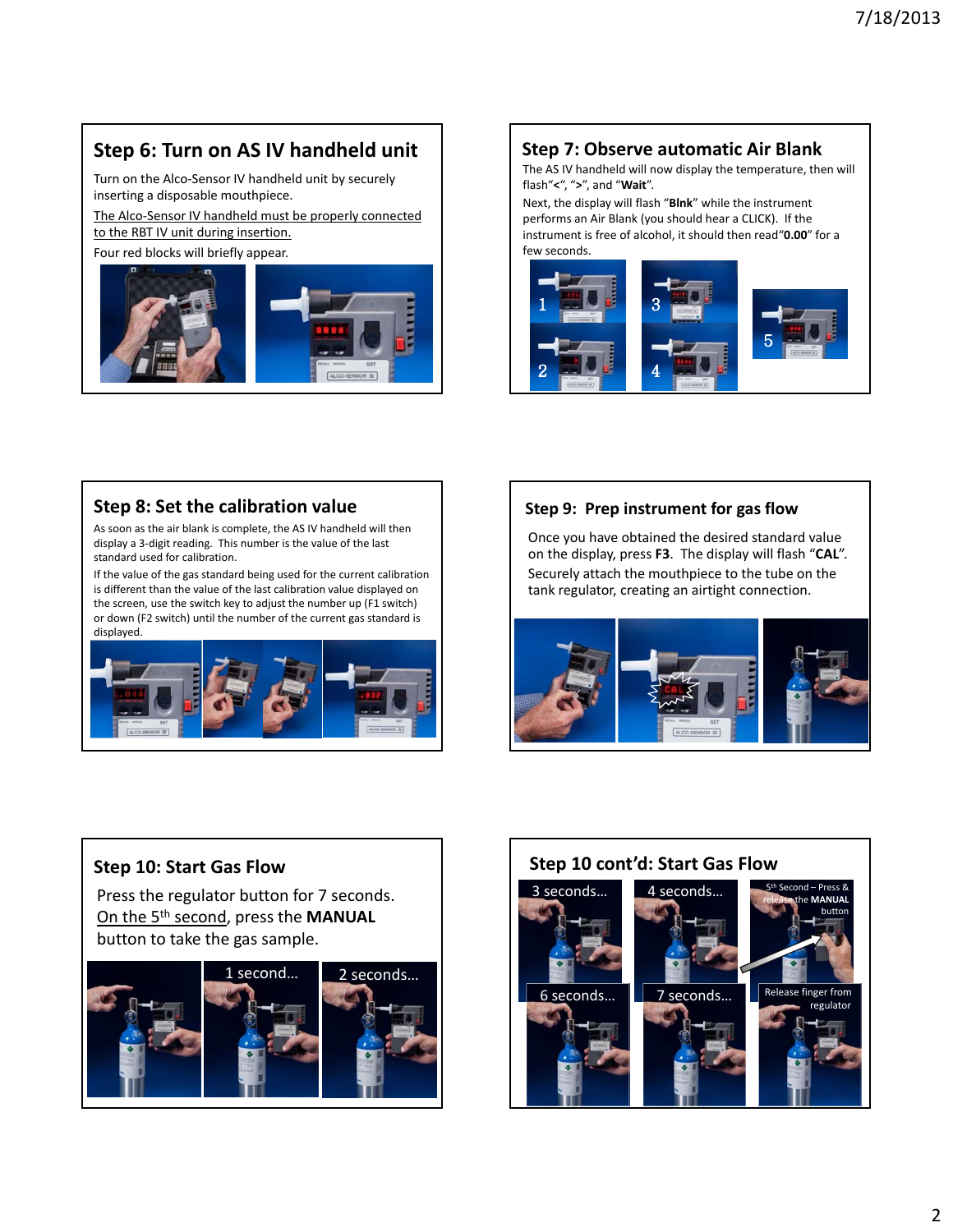# **Step 6: Turn on AS IV handheld unit**

Turn on the Alco‐Sensor IV handheld unit by securely inserting a disposable mouthpiece.

The Alco-Sensor IV handheld must be properly connected to the RBT IV unit during insertion.

Four red blocks will briefly appear.



### **Step 7: Observe automatic Air Blank**

The AS IV handheld will now display the temperature, then will flash"**<**", "**>**", and "**Wait**".

Next, the display will flash "**Blnk**" while the instrument performs an Air Blank (you should hear a CLICK). If the instrument is free of alcohol, it should then read"**0.00**" for a few seconds.



#### **Step 8: Set the calibration value**

As soon as the air blank is complete, the AS IV handheld will then display a 3‐digit reading. This number is the value of the last standard used for calibration.

If the value of the gas standard being used for the current calibration is different than the value of the last calibration value displayed on the screen, use the switch key to adjust the number up (F1 switch) or down (F2 switch) until the number of the current gas standard is displayed.



#### **Step 9: Prep instrument for gas flow**

Once you have obtained the desired standard value on the display, press **F3**. The display will flash "**CAL**". Securely attach the mouthpiece to the tube on the tank regulator, creating an airtight connection.



### **Step 10: Start Gas Flow**

Press the regulator button for 7 seconds. On the 5th second, press the **MANUAL** button to take the gas sample.